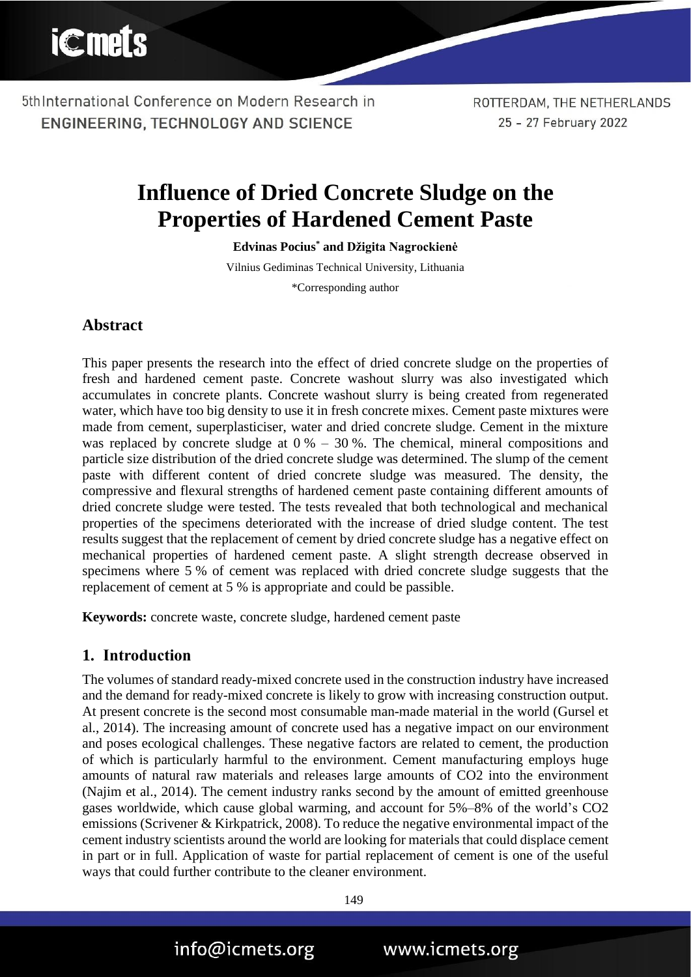ROTTERDAM, THE NETHERLANDS 25 - 27 February 2022

# **Influence of Dried Concrete Sludge on the Properties of Hardened Cement Paste**

**Edvinas Pocius\* and Džigita Nagrockienė**

Vilnius Gediminas Technical University, Lithuania

\*Corresponding author

### **Abstract**

This paper presents the research into the effect of dried concrete sludge on the properties of fresh and hardened cement paste. Concrete washout slurry was also investigated which accumulates in concrete plants. Concrete washout slurry is being created from regenerated water, which have too big density to use it in fresh concrete mixes. Cement paste mixtures were made from cement, superplasticiser, water and dried concrete sludge. Cement in the mixture was replaced by concrete sludge at  $0\% - 30\%$ . The chemical, mineral compositions and particle size distribution of the dried concrete sludge was determined. The slump of the cement paste with different content of dried concrete sludge was measured. The density, the compressive and flexural strengths of hardened cement paste containing different amounts of dried concrete sludge were tested. The tests revealed that both technological and mechanical properties of the specimens deteriorated with the increase of dried sludge content. The test results suggest that the replacement of cement by dried concrete sludge has a negative effect on mechanical properties of hardened cement paste. A slight strength decrease observed in specimens where 5 % of cement was replaced with dried concrete sludge suggests that the replacement of cement at 5 % is appropriate and could be passible.

**Keywords:** concrete waste, concrete sludge, hardened cement paste

#### **1. Introduction**

The volumes of standard ready-mixed concrete used in the construction industry have increased and the demand for ready-mixed concrete is likely to grow with increasing construction output. At present concrete is the second most consumable man-made material in the world (Gursel et al., 2014). The increasing amount of concrete used has a negative impact on our environment and poses ecological challenges. These negative factors are related to cement, the production of which is particularly harmful to the environment. Cement manufacturing employs huge amounts of natural raw materials and releases large amounts of CO2 into the environment (Najim et al., 2014). The cement industry ranks second by the amount of emitted greenhouse gases worldwide, which cause global warming, and account for 5%–8% of the world's CO2 emissions (Scrivener & Kirkpatrick, 2008). To reduce the negative environmental impact of the cement industry scientists around the world are looking for materials that could displace cement in part or in full. Application of waste for partial replacement of cement is one of the useful ways that could further contribute to the cleaner environment.

149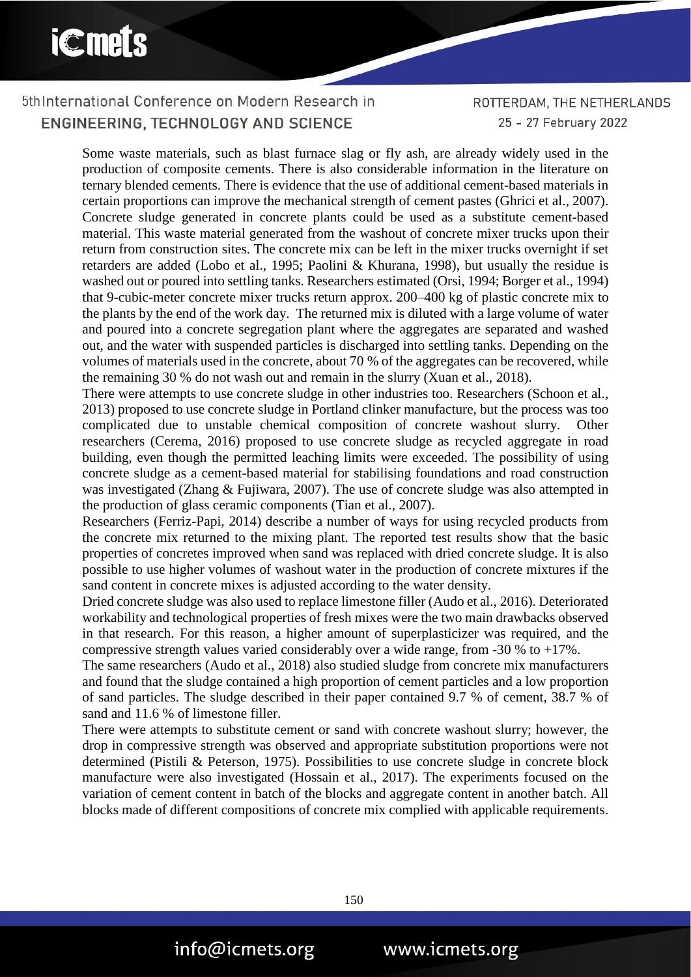# **iCmets**

# 5th International Conference on Modern Research in ENGINEERING, TECHNOLOGY AND SCIENCE

ROTTERDAM, THE NETHERLANDS 25 - 27 February 2022

Some waste materials, such as blast furnace slag or fly ash, are already widely used in the production of composite cements. There is also considerable information in the literature on ternary blended cements. There is evidence that the use of additional cement-based materials in certain proportions can improve the mechanical strength of cement pastes (Ghrici et al., 2007). Concrete sludge generated in concrete plants could be used as a substitute cement-based material. This waste material generated from the washout of concrete mixer trucks upon their return from construction sites. The concrete mix can be left in the mixer trucks overnight if set retarders are added (Lobo et al., 1995; Paolini & Khurana, 1998), but usually the residue is washed out or poured into settling tanks. Researchers estimated (Orsi, 1994; Borger et al., 1994) that 9-cubic-meter concrete mixer trucks return approx. 200–400 kg of plastic concrete mix to the plants by the end of the work day. The returned mix is diluted with a large volume of water and poured into a concrete segregation plant where the aggregates are separated and washed out, and the water with suspended particles is discharged into settling tanks. Depending on the volumes of materials used in the concrete, about 70 % of the aggregates can be recovered, while the remaining 30 % do not wash out and remain in the slurry (Xuan et al., 2018).

There were attempts to use concrete sludge in other industries too. Researchers (Schoon et al., 2013) proposed to use concrete sludge in Portland clinker manufacture, but the process was too complicated due to unstable chemical composition of concrete washout slurry. Other researchers (Cerema, 2016) proposed to use concrete sludge as recycled aggregate in road building, even though the permitted leaching limits were exceeded. The possibility of using concrete sludge as a cement-based material for stabilising foundations and road construction was investigated (Zhang & Fujiwara, 2007). The use of concrete sludge was also attempted in the production of glass ceramic components (Tian et al., 2007).

Researchers (Ferriz-Papi, 2014) describe a number of ways for using recycled products from the concrete mix returned to the mixing plant. The reported test results show that the basic properties of concretes improved when sand was replaced with dried concrete sludge. It is also possible to use higher volumes of washout water in the production of concrete mixtures if the sand content in concrete mixes is adjusted according to the water density.

Dried concrete sludge was also used to replace limestone filler (Audo et al., 2016). Deteriorated workability and technological properties of fresh mixes were the two main drawbacks observed in that research. For this reason, a higher amount of superplasticizer was required, and the compressive strength values varied considerably over a wide range, from -30 % to +17%.

The same researchers (Audo et al., 2018) also studied sludge from concrete mix manufacturers and found that the sludge contained a high proportion of cement particles and a low proportion of sand particles. The sludge described in their paper contained 9.7 % of cement, 38.7 % of sand and 11.6 % of limestone filler.

There were attempts to substitute cement or sand with concrete washout slurry; however, the drop in compressive strength was observed and appropriate substitution proportions were not determined (Pistili & Peterson, 1975). Possibilities to use concrete sludge in concrete block manufacture were also investigated (Hossain et al., 2017). The experiments focused on the variation of cement content in batch of the blocks and aggregate content in another batch. All blocks made of different compositions of concrete mix complied with applicable requirements.

150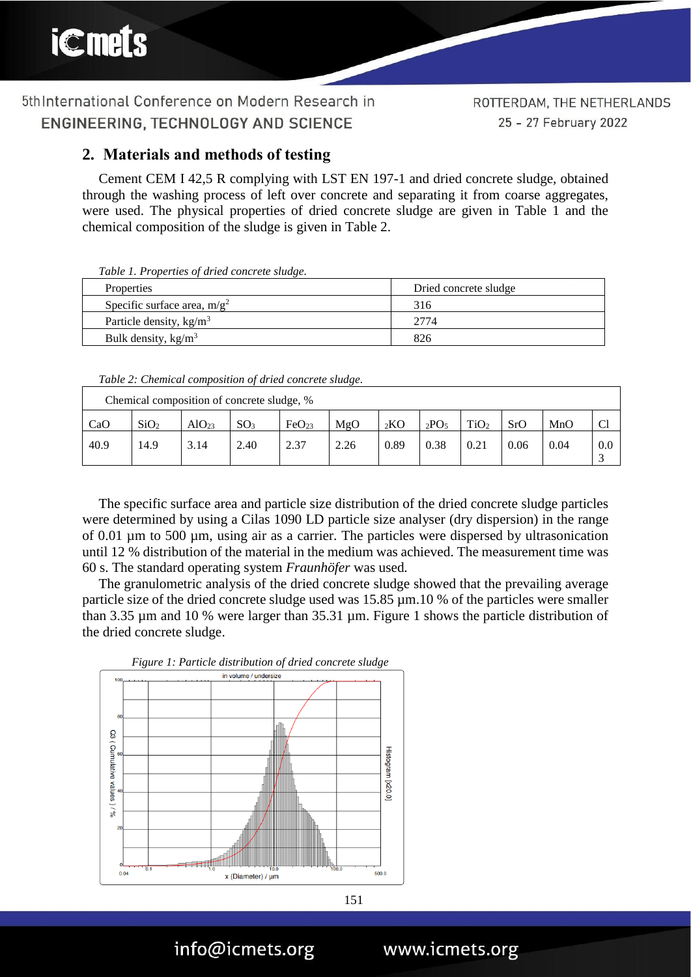## **2. Materials and methods of testing**

Cement CEM I 42,5 R complying with LST EN 197-1 and dried concrete sludge, obtained through the washing process of left over concrete and separating it from coarse aggregates, were used. The physical properties of dried concrete sludge are given in Table 1 and the chemical composition of the sludge is given in Table 2.

*Table 1. Properties of dried concrete sludge.*

| Properties                     | Dried concrete sludge |
|--------------------------------|-----------------------|
| Specific surface area, $m/g^2$ | 316                   |
| Particle density, $kg/m3$      | 2774                  |
| Bulk density, $\text{kg/m}^3$  | 826                   |

*Table 2: Chemical composition of dried concrete sludge.*

| Chemical composition of concrete sludge, % |                  |                   |                 |                   |      |      |                  |                  |      |      |             |
|--------------------------------------------|------------------|-------------------|-----------------|-------------------|------|------|------------------|------------------|------|------|-------------|
| CaO                                        | SiO <sub>2</sub> | AlO <sub>23</sub> | SO <sub>3</sub> | FeO <sub>23</sub> | MgO  | 2KO  | 2PO <sub>5</sub> | TiO <sub>2</sub> | SrO  | MnO  | $\cap$<br>U |
| 40.9                                       | 14.9             | 3.14              | 2.40            | 2.37              | 2.26 | 0.89 | 0.38             | 0.21             | 0.06 | 0.04 | 0.0         |

The specific surface area and particle size distribution of the dried concrete sludge particles were determined by using a Cilas 1090 LD particle size analyser (dry dispersion) in the range of 0.01 µm to 500 µm, using air as a carrier. The particles were dispersed by ultrasonication until 12 % distribution of the material in the medium was achieved. The measurement time was 60 s. The standard operating system *Fraunhöfer* was used*.*

The granulometric analysis of the dried concrete sludge showed that the prevailing average particle size of the dried concrete sludge used was 15.85 µm.10 % of the particles were smaller than 3.35 µm and 10 % were larger than 35.31 µm. Figure 1 shows the particle distribution of the dried concrete sludge.



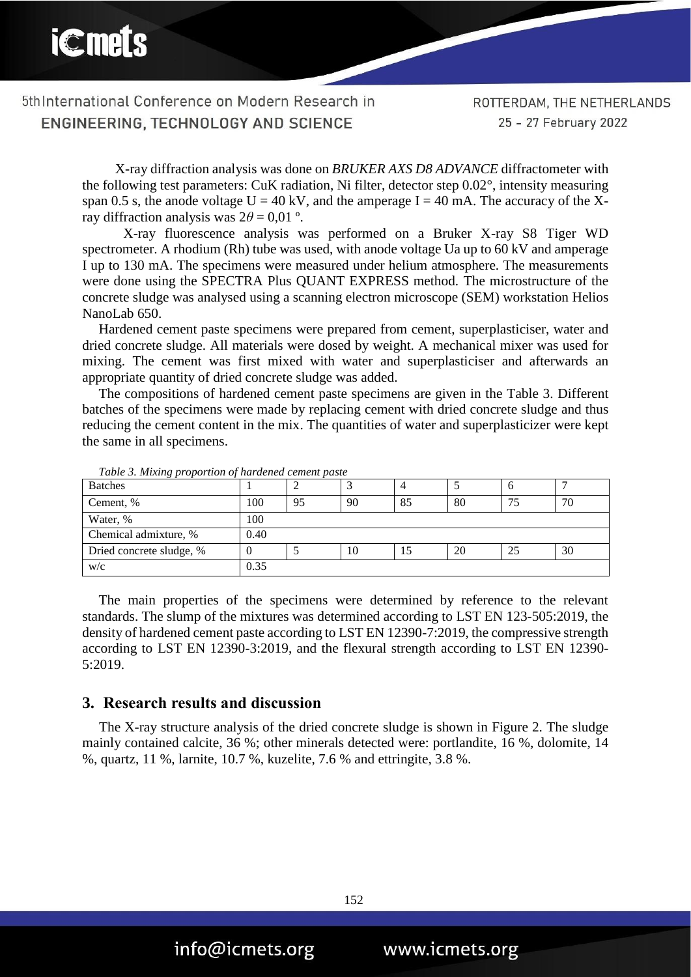X-ray diffraction analysis was done on *BRUKER AXS D8 ADVANCE* diffractometer with the following test parameters: CuK radiation, Ni filter, detector step 0.02°, intensity measuring span 0.5 s, the anode voltage  $U = 40$  kV, and the amperage I = 40 mA. The accuracy of the Xray diffraction analysis was  $2\theta = 0.01$  °.

X-ray fluorescence analysis was performed on a Bruker X-ray S8 Tiger WD spectrometer. A rhodium (Rh) tube was used, with anode voltage Ua up to 60 kV and amperage I up to 130 mA. The specimens were measured under helium atmosphere. The measurements were done using the SPECTRA Plus QUANT EXPRESS method. The microstructure of the concrete sludge was analysed using a scanning electron microscope (SEM) workstation Helios NanoLab 650.

Hardened cement paste specimens were prepared from cement, superplasticiser, water and dried concrete sludge. All materials were dosed by weight. A mechanical mixer was used for mixing. The cement was first mixed with water and superplasticiser and afterwards an appropriate quantity of dried concrete sludge was added.

The compositions of hardened cement paste specimens are given in the Table 3. Different batches of the specimens were made by replacing cement with dried concrete sludge and thus reducing the cement content in the mix. The quantities of water and superplasticizer were kept the same in all specimens.

| <b>Batches</b>           |      | ∠  |    |    |    | ന  |    |
|--------------------------|------|----|----|----|----|----|----|
| Cement, %                | 100  | 95 | 90 | 85 | 80 |    | 70 |
| Water, %                 | 100  |    |    |    |    |    |    |
| Chemical admixture, %    | 0.40 |    |    |    |    |    |    |
| Dried concrete sludge, % |      |    | 10 | 15 | 20 | 25 | 30 |
| W/c                      | 0.35 |    |    |    |    |    |    |

*Table 3. Mixing proportion of hardened cement paste*

The main properties of the specimens were determined by reference to the relevant standards. The slump of the mixtures was determined according to LST EN 123-505:2019, the density of hardened cement paste according to LST EN 12390-7:2019, the compressive strength according to LST EN 12390-3:2019, and the flexural strength according to LST EN 12390- 5:2019.

#### **3. Research results and discussion**

The X-ray structure analysis of the dried concrete sludge is shown in Figure 2. The sludge mainly contained calcite, 36 %; other minerals detected were: portlandite, 16 %, dolomite, 14 %, quartz, 11 %, larnite, 10.7 %, kuzelite, 7.6 % and ettringite, 3.8 %.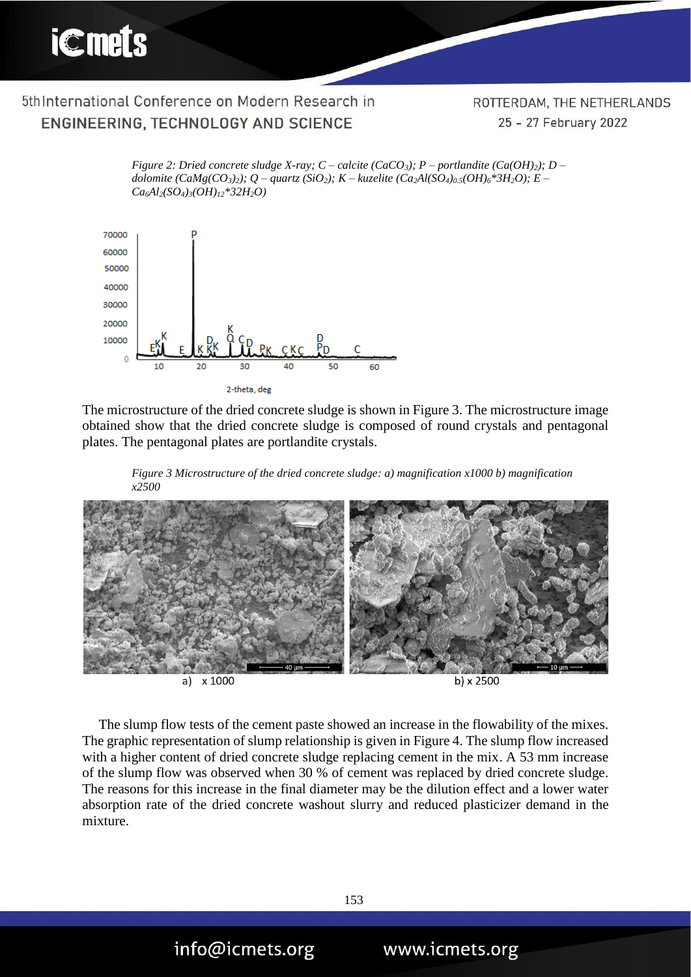ROTTERDAM, THE NETHERLANDS 25 - 27 February 2022

*Figure 2: Dried concrete sludge X-ray; C – calcite (CaCO3); P – portlandite (Ca(OH)2); D – dolomite (CaMg(CO3)2); Q – quartz (SiO2); K – kuzelite (Ca2Al(SO4)0.5(OH)6\*3H2O); E – Ca6Al2(SO4)3(OH)12\*32H2O)*



The microstructure of the dried concrete sludge is shown in Figure 3. The microstructure image obtained show that the dried concrete sludge is composed of round crystals and pentagonal plates. The pentagonal plates are portlandite crystals.





The slump flow tests of the cement paste showed an increase in the flowability of the mixes. The graphic representation of slump relationship is given in Figure 4. The slump flow increased with a higher content of dried concrete sludge replacing cement in the mix. A 53 mm increase of the slump flow was observed when 30 % of cement was replaced by dried concrete sludge. The reasons for this increase in the final diameter may be the dilution effect and a lower water absorption rate of the dried concrete washout slurry and reduced plasticizer demand in the mixture.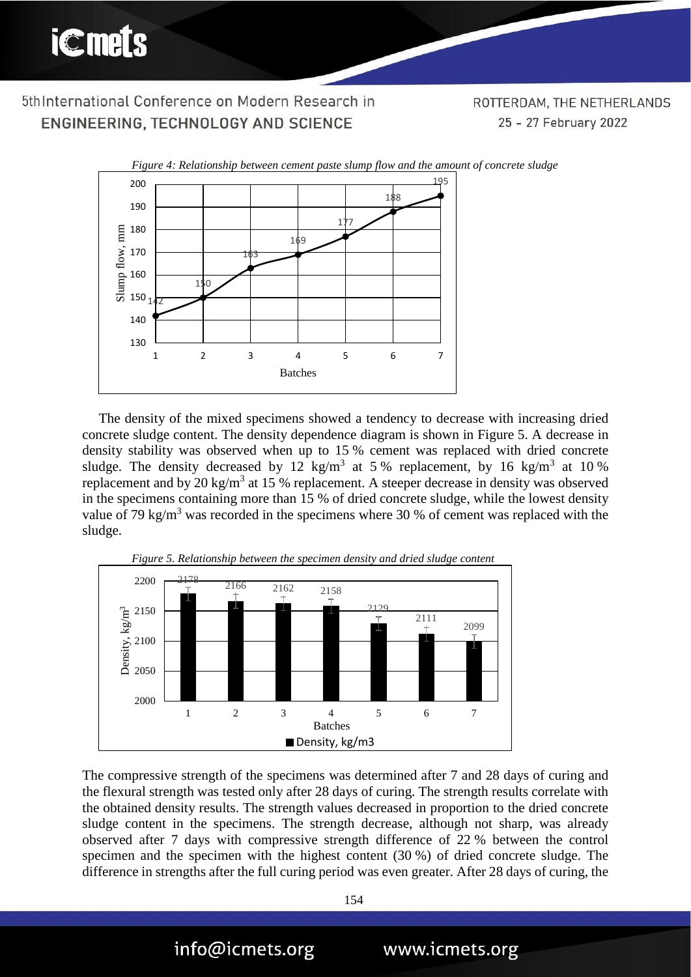ROTTERDAM, THE NETHERLANDS 25 - 27 February 2022



The density of the mixed specimens showed a tendency to decrease with increasing dried concrete sludge content. The density dependence diagram is shown in Figure 5. A decrease in density stability was observed when up to 15 % cement was replaced with dried concrete sludge. The density decreased by 12 kg/m<sup>3</sup> at 5% replacement, by 16 kg/m<sup>3</sup> at 10% replacement and by 20 kg/m<sup>3</sup> at 15 % replacement. A steeper decrease in density was observed in the specimens containing more than 15 % of dried concrete sludge, while the lowest density value of 79 kg/m<sup>3</sup> was recorded in the specimens where 30 % of cement was replaced with the sludge.



The compressive strength of the specimens was determined after 7 and 28 days of curing and the flexural strength was tested only after 28 days of curing. The strength results correlate with the obtained density results. The strength values decreased in proportion to the dried concrete sludge content in the specimens. The strength decrease, although not sharp, was already observed after 7 days with compressive strength difference of 22 % between the control specimen and the specimen with the highest content (30 %) of dried concrete sludge. The difference in strengths after the full curing period was even greater. After 28 days of curing, the



info@icmets.org

www.icmets.org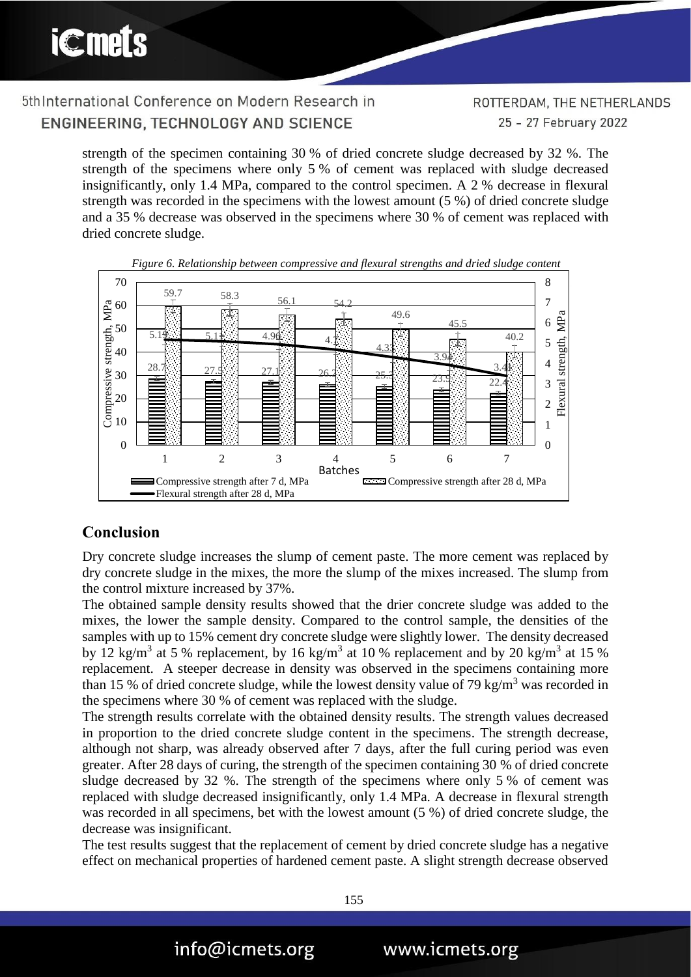ROTTERDAM, THE NETHERLANDS 25 - 27 February 2022

strength of the specimen containing 30 % of dried concrete sludge decreased by 32 %. The strength of the specimens where only 5 % of cement was replaced with sludge decreased insignificantly, only 1.4 MPa, compared to the control specimen. A 2 % decrease in flexural strength was recorded in the specimens with the lowest amount (5 %) of dried concrete sludge and a 35 % decrease was observed in the specimens where 30 % of cement was replaced with dried concrete sludge.





#### **Conclusion**

Dry concrete sludge increases the slump of cement paste. The more cement was replaced by dry concrete sludge in the mixes, the more the slump of the mixes increased. The slump from the control mixture increased by 37%.

The obtained sample density results showed that the drier concrete sludge was added to the mixes, the lower the sample density. Compared to the control sample, the densities of the samples with up to 15% cement dry concrete sludge were slightly lower. The density decreased by 12 kg/m<sup>3</sup> at 5 % replacement, by 16 kg/m<sup>3</sup> at 10 % replacement and by 20 kg/m<sup>3</sup> at 15 % replacement. A steeper decrease in density was observed in the specimens containing more than 15 % of dried concrete sludge, while the lowest density value of 79 kg/m<sup>3</sup> was recorded in the specimens where 30 % of cement was replaced with the sludge.

The strength results correlate with the obtained density results. The strength values decreased in proportion to the dried concrete sludge content in the specimens. The strength decrease, although not sharp, was already observed after 7 days, after the full curing period was even greater. After 28 days of curing, the strength of the specimen containing 30 % of dried concrete sludge decreased by 32 %. The strength of the specimens where only 5 % of cement was replaced with sludge decreased insignificantly, only 1.4 MPa. A decrease in flexural strength was recorded in all specimens, bet with the lowest amount (5 %) of dried concrete sludge, the decrease was insignificant.

The test results suggest that the replacement of cement by dried concrete sludge has a negative effect on mechanical properties of hardened cement paste. A slight strength decrease observed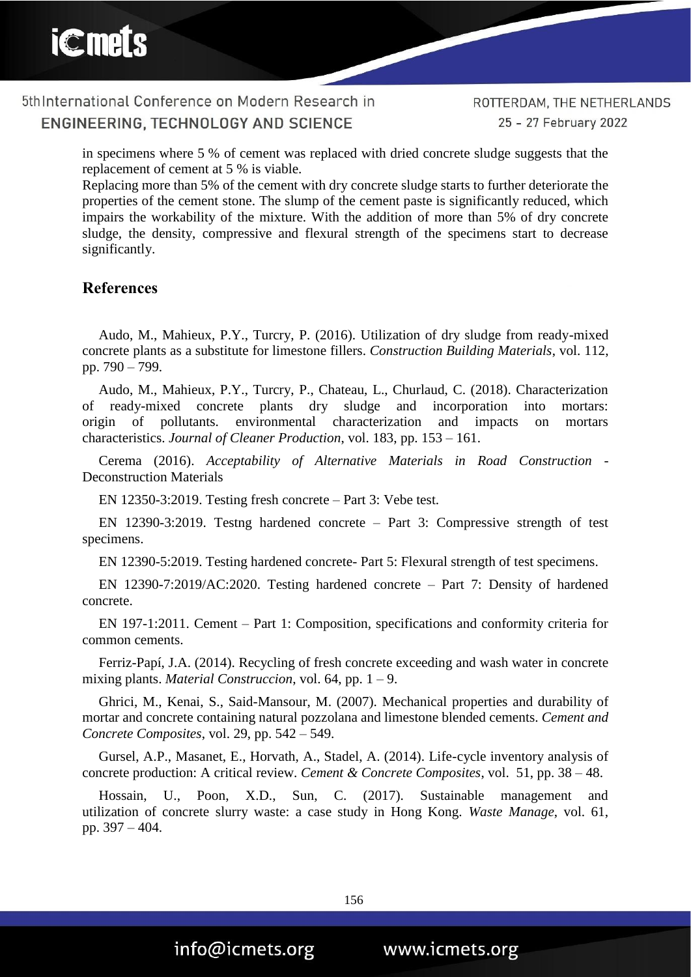in specimens where 5 % of cement was replaced with dried concrete sludge suggests that the replacement of cement at 5 % is viable.

Replacing more than 5% of the cement with dry concrete sludge starts to further deteriorate the properties of the cement stone. The slump of the cement paste is significantly reduced, which impairs the workability of the mixture. With the addition of more than 5% of dry concrete sludge, the density, compressive and flexural strength of the specimens start to decrease significantly.

#### **References**

Audo, M., Mahieux, P.Y., Turcry, P. (2016). Utilization of dry sludge from ready-mixed concrete plants as a substitute for limestone fillers. *Construction Building Materials*, vol. 112, pp. 790 – 799.

Audo, M., Mahieux, P.Y., Turcry, P., Chateau, L., Churlaud, C. (2018). Characterization of ready-mixed concrete plants dry sludge and incorporation into mortars: origin of pollutants. environmental characterization and impacts on mortars characteristics. *Journal of Cleaner Production*, vol. 183, pp. 153 – 161.

Cerema (2016). *Acceptability of Alternative Materials in Road Construction* - Deconstruction Materials

EN 12350-3:2019. Testing fresh concrete – Part 3: Vebe test.

EN 12390-3:2019. Testng hardened concrete – Part 3: Compressive strength of test specimens.

EN 12390-5:2019. Testing hardened concrete- Part 5: Flexural strength of test specimens.

EN 12390-7:2019/AC:2020. Testing hardened concrete – Part 7: Density of hardened concrete.

EN 197-1:2011. Cement – Part 1: Composition, specifications and conformity criteria for common cements.

Ferriz-Papí, J.A. (2014). Recycling of fresh concrete exceeding and wash water in concrete mixing plants. *Material Construccion*, vol. 64, pp. 1 – 9.

Ghrici, M., Kenai, S., Said-Mansour, M. (2007). Mechanical properties and durability of mortar and concrete containing natural pozzolana and limestone blended cements. *Cement and Concrete Composites*, vol. 29, pp. 542 – 549.

Gursel, A.P., Masanet, E., Horvath, A., Stadel, A. (2014). Life-cycle inventory analysis of concrete production: A critical review. *Cement & Concrete Composites*, vol. 51, pp. 38 – 48.

Hossain, U., Poon, X.D., Sun, C. (2017). Sustainable management and utilization of concrete slurry waste: a case study in Hong Kong. *Waste Manage*, vol. 61, pp. 397 – 404.